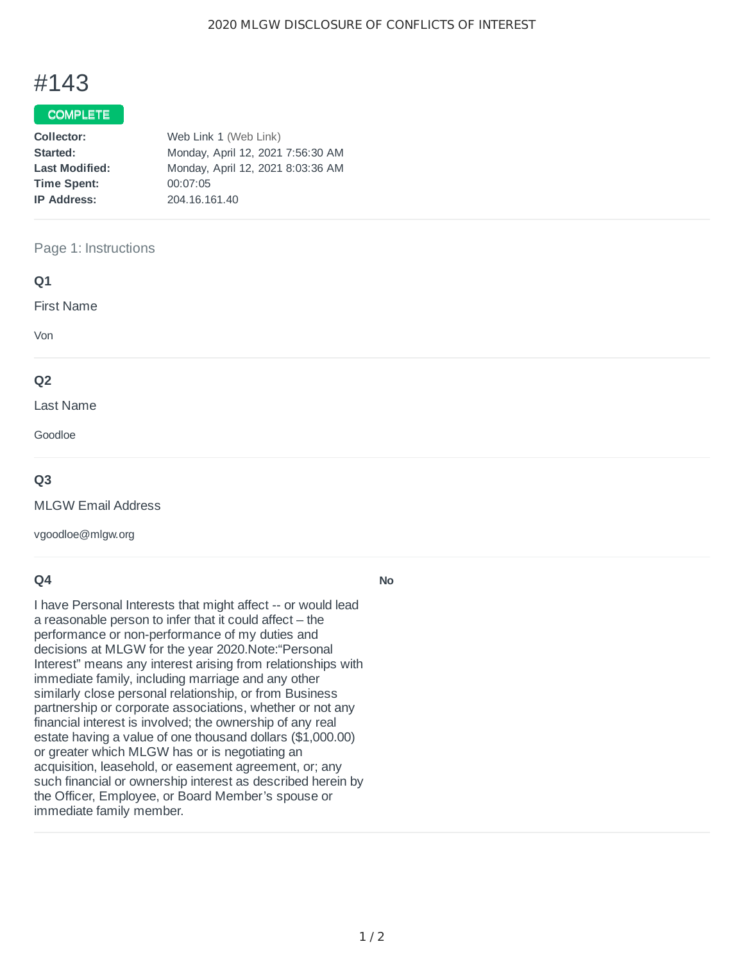# #143

## COMPLETE

| Collector:            | Web Link 1 (Web Link)             |
|-----------------------|-----------------------------------|
| Started:              | Monday, April 12, 2021 7:56:30 AM |
| <b>Last Modified:</b> | Monday, April 12, 2021 8:03:36 AM |
| <b>Time Spent:</b>    | 00:07:05                          |
| <b>IP Address:</b>    | 204.16.161.40                     |

#### Page 1: Instructions

| Q1                                |  |  |
|-----------------------------------|--|--|
| <b>First Name</b>                 |  |  |
| Von                               |  |  |
| Q <sub>2</sub>                    |  |  |
| Last Name                         |  |  |
| Goodloe                           |  |  |
| the company's company's company's |  |  |

### **Q3**

MLGW Email Address

vgoodloe@mlgw.org

## **Q4**

I have Personal Interests that might affect -- or would lead a reasonable person to infer that it could affect – the performance or non-performance of my duties and decisions at MLGW for the year 2020.Note:"Personal Interest" means any interest arising from relationships with immediate family, including marriage and any other similarly close personal relationship, or from Business partnership or corporate associations, whether or not any financial interest is involved; the ownership of any real estate having a value of one thousand dollars (\$1,000.00) or greater which MLGW has or is negotiating an acquisition, leasehold, or easement agreement, or; any such financial or ownership interest as described herein by the Officer, Employee, or Board Member's spouse or immediate family member.

**No**